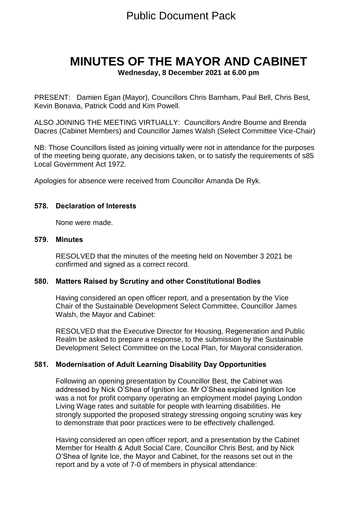# Public Document Pack

# **MINUTES OF THE MAYOR AND CABINET**

**Wednesday, 8 December 2021 at 6.00 pm**

PRESENT: Damien Egan (Mayor), Councillors Chris Barnham, Paul Bell, Chris Best, Kevin Bonavia, Patrick Codd and Kim Powell.

ALSO JOINING THE MEETING VIRTUALLY: Councillors Andre Bourne and Brenda Dacres (Cabinet Members) and Councillor James Walsh (Select Committee Vice-Chair)

NB: Those Councillors listed as joining virtually were not in attendance for the purposes of the meeting being quorate, any decisions taken, or to satisfy the requirements of s85 Local Government Act 1972.

Apologies for absence were received from Councillor Amanda De Ryk.

#### **578. Declaration of Interests**

None were made.

#### **579. Minutes**

RESOLVED that the minutes of the meeting held on November 3 2021 be confirmed and signed as a correct record.

#### **580. Matters Raised by Scrutiny and other Constitutional Bodies**

Having considered an open officer report, and a presentation by the Vice Chair of the Sustainable Development Select Committee, Councillor James Walsh, the Mayor and Cabinet:

RESOLVED that the Executive Director for Housing, Regeneration and Public Realm be asked to prepare a response, to the submission by the Sustainable Development Select Committee on the Local Plan, for Mayoral consideration.

#### **581. Modernisation of Adult Learning Disability Day Opportunities**

Following an opening presentation by Councillor Best, the Cabinet was addressed by Nick O'Shea of Ignition Ice. Mr O'Shea explained Ignition Ice was a not for profit company operating an employment model paying London Living Wage rates and suitable for people with learning disabilities. He strongly supported the proposed strategy stressing ongoing scrutiny was key to demonstrate that poor practices were to be effectively challenged.

Having considered an open officer report, and a presentation by the Cabinet Member for Health & Adult Social Care, Councillor Chris Best, and by Nick O'Shea of Ignite Ice, the Mayor and Cabinet, for the reasons set out in the report and by a vote of 7-0 of members in physical attendance: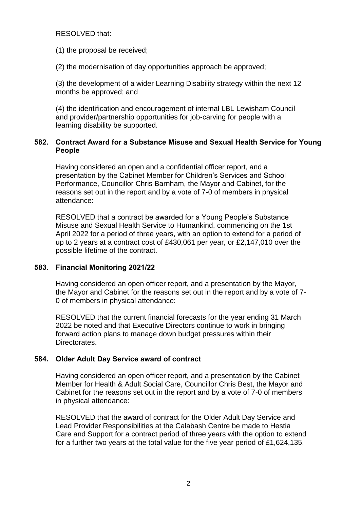#### RESOLVED that:

(1) the proposal be received;

(2) the modernisation of day opportunities approach be approved;

(3) the development of a wider Learning Disability strategy within the next 12 months be approved; and

(4) the identification and encouragement of internal LBL Lewisham Council and provider/partnership opportunities for job-carving for people with a learning disability be supported.

# **582. Contract Award for a Substance Misuse and Sexual Health Service for Young People**

Having considered an open and a confidential officer report, and a presentation by the Cabinet Member for Children's Services and School Performance, Councillor Chris Barnham, the Mayor and Cabinet, for the reasons set out in the report and by a vote of 7-0 of members in physical attendance:

RESOLVED that a contract be awarded for a Young People's Substance Misuse and Sexual Health Service to Humankind, commencing on the 1st April 2022 for a period of three years, with an option to extend for a period of up to 2 years at a contract cost of £430,061 per year, or £2,147,010 over the possible lifetime of the contract.

# **583. Financial Monitoring 2021/22**

Having considered an open officer report, and a presentation by the Mayor, the Mayor and Cabinet for the reasons set out in the report and by a vote of 7- 0 of members in physical attendance:

RESOLVED that the current financial forecasts for the year ending 31 March 2022 be noted and that Executive Directors continue to work in bringing forward action plans to manage down budget pressures within their Directorates.

# **584. Older Adult Day Service award of contract**

Having considered an open officer report, and a presentation by the Cabinet Member for Health & Adult Social Care, Councillor Chris Best, the Mayor and Cabinet for the reasons set out in the report and by a vote of 7-0 of members in physical attendance:

RESOLVED that the award of contract for the Older Adult Day Service and Lead Provider Responsibilities at the Calabash Centre be made to Hestia Care and Support for a contract period of three years with the option to extend for a further two years at the total value for the five year period of £1,624,135.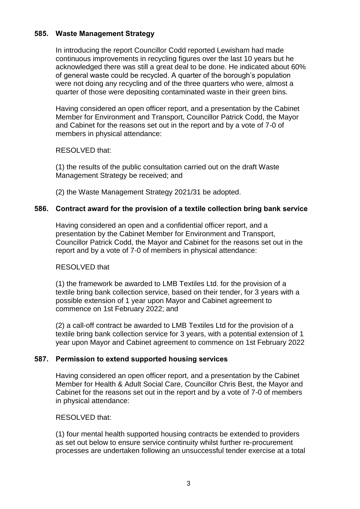#### **585. Waste Management Strategy**

In introducing the report Councillor Codd reported Lewisham had made continuous improvements in recycling figures over the last 10 years but he acknowledged there was still a great deal to be done. He indicated about 60% of general waste could be recycled. A quarter of the borough's population were not doing any recycling and of the three quarters who were, almost a quarter of those were depositing contaminated waste in their green bins.

Having considered an open officer report, and a presentation by the Cabinet Member for Environment and Transport, Councillor Patrick Codd, the Mayor and Cabinet for the reasons set out in the report and by a vote of 7-0 of members in physical attendance:

RESOLVED that:

(1) the results of the public consultation carried out on the draft Waste Management Strategy be received; and

(2) the Waste Management Strategy 2021/31 be adopted.

# **586. Contract award for the provision of a textile collection bring bank service**

Having considered an open and a confidential officer report, and a presentation by the Cabinet Member for Environment and Transport, Councillor Patrick Codd, the Mayor and Cabinet for the reasons set out in the report and by a vote of 7-0 of members in physical attendance:

#### RESOLVED that

(1) the framework be awarded to LMB Textiles Ltd. for the provision of a textile bring bank collection service, based on their tender, for 3 years with a possible extension of 1 year upon Mayor and Cabinet agreement to commence on 1st February 2022; and

(2) a call-off contract be awarded to LMB Textiles Ltd for the provision of a textile bring bank collection service for 3 years, with a potential extension of 1 year upon Mayor and Cabinet agreement to commence on 1st February 2022

#### **587. Permission to extend supported housing services**

Having considered an open officer report, and a presentation by the Cabinet Member for Health & Adult Social Care, Councillor Chris Best, the Mayor and Cabinet for the reasons set out in the report and by a vote of 7-0 of members in physical attendance:

#### RESOLVED that:

(1) four mental health supported housing contracts be extended to providers as set out below to ensure service continuity whilst further re-procurement processes are undertaken following an unsuccessful tender exercise at a total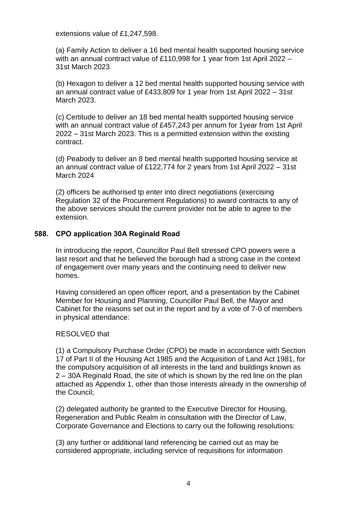extensions value of £1,247,598.

(a) Family Action to deliver a 16 bed mental health supported housing service with an annual contract value of £110,998 for 1 year from 1st April 2022 -31st March 2023

(b) Hexagon to deliver a 12 bed mental health supported housing service with an annual contract value of £433,809 for 1 year from 1st April 2022 – 31st March 2023.

(c) Certitude to deliver an 18 bed mental health supported housing service with an annual contract value of £457,243 per annum for 1year from 1st April 2022 – 31st March 2023. This is a permitted extension within the existing contract.

(d) Peabody to deliver an 8 bed mental health supported housing service at an annual contract value of £122,774 for 2 years from 1st April 2022 – 31st March 2024

(2) officers be authorised tp enter into direct negotiations (exercising Regulation 32 of the Procurement Regulations) to award contracts to any of the above services should the current provider not be able to agree to the extension.

#### **588. CPO application 30A Reginald Road**

In introducing the report, Councillor Paul Bell stressed CPO powers were a last resort and that he believed the borough had a strong case in the context of engagement over many years and the continuing need to deliver new homes.

Having considered an open officer report, and a presentation by the Cabinet Member for Housing and Planning, Councillor Paul Bell, the Mayor and Cabinet for the reasons set out in the report and by a vote of 7-0 of members in physical attendance:

#### RESOLVED that

(1) a Compulsory Purchase Order (CPO) be made in accordance with Section 17 of Part II of the Housing Act 1985 and the Acquisition of Land Act 1981, for the compulsory acquisition of all interests in the land and buildings known as 2 – 30A Reginald Road, the site of which is shown by the red line on the plan attached as Appendix 1, other than those interests already in the ownership of the Council;

(2) delegated authority be granted to the Executive Director for Housing, Regeneration and Public Realm in consultation with the Director of Law, Corporate Governance and Elections to carry out the following resolutions:

(3) any further or additional land referencing be carried out as may be considered appropriate, including service of requisitions for information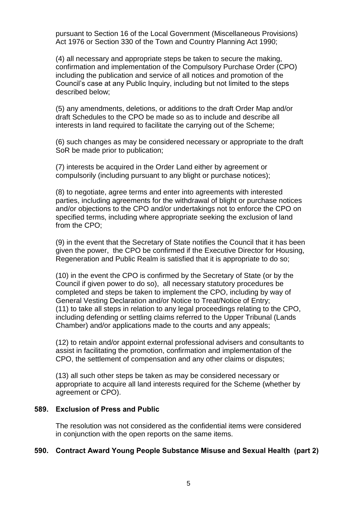pursuant to Section 16 of the Local Government (Miscellaneous Provisions) Act 1976 or Section 330 of the Town and Country Planning Act 1990;

(4) all necessary and appropriate steps be taken to secure the making, confirmation and implementation of the Compulsory Purchase Order (CPO) including the publication and service of all notices and promotion of the Council's case at any Public Inquiry, including but not limited to the steps described below;

(5) any amendments, deletions, or additions to the draft Order Map and/or draft Schedules to the CPO be made so as to include and describe all interests in land required to facilitate the carrying out of the Scheme;

(6) such changes as may be considered necessary or appropriate to the draft SoR be made prior to publication;

(7) interests be acquired in the Order Land either by agreement or compulsorily (including pursuant to any blight or purchase notices);

(8) to negotiate, agree terms and enter into agreements with interested parties, including agreements for the withdrawal of blight or purchase notices and/or objections to the CPO and/or undertakings not to enforce the CPO on specified terms, including where appropriate seeking the exclusion of land from the CPO;

(9) in the event that the Secretary of State notifies the Council that it has been given the power, the CPO be confirmed if the Executive Director for Housing, Regeneration and Public Realm is satisfied that it is appropriate to do so;

(10) in the event the CPO is confirmed by the Secretary of State (or by the Council if given power to do so), all necessary statutory procedures be completed and steps be taken to implement the CPO, including by way of General Vesting Declaration and/or Notice to Treat/Notice of Entry; (11) to take all steps in relation to any legal proceedings relating to the CPO, including defending or settling claims referred to the Upper Tribunal (Lands Chamber) and/or applications made to the courts and any appeals;

(12) to retain and/or appoint external professional advisers and consultants to assist in facilitating the promotion, confirmation and implementation of the CPO, the settlement of compensation and any other claims or disputes;

(13) all such other steps be taken as may be considered necessary or appropriate to acquire all land interests required for the Scheme (whether by agreement or CPO).

#### **589. Exclusion of Press and Public**

The resolution was not considered as the confidential items were considered in conjunction with the open reports on the same items.

#### **590. Contract Award Young People Substance Misuse and Sexual Health (part 2)**